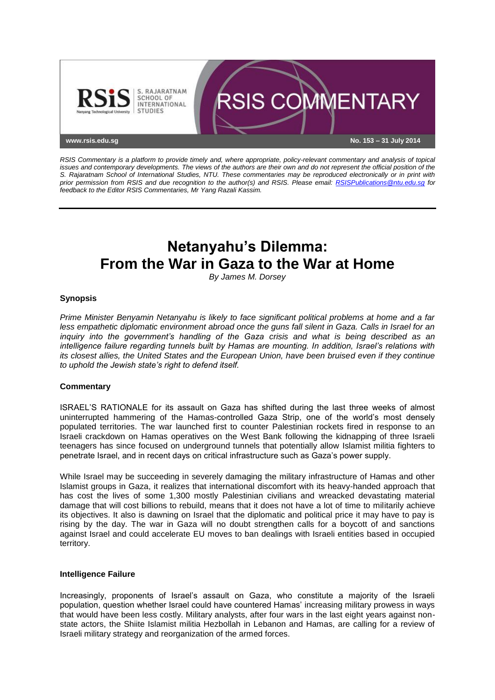

*RSIS Commentary is a platform to provide timely and, where appropriate, policy-relevant commentary and analysis of topical issues and contemporary developments. The views of the authors are their own and do not represent the official position of the S. Rajaratnam School of International Studies, NTU. These commentaries may be reproduced electronically or in print with prior permission from RSIS and due recognition to the author(s) and RSIS. Please email: [RSISPublications@ntu.edu.sg](mailto:RSISPublications@ntu.edu.sg) for feedback to the Editor RSIS Commentaries, Mr Yang Razali Kassim.*

# **Netanyahu's Dilemma: From the War in Gaza to the War at Home**

*By James M. Dorsey*

## **Synopsis**

*Prime Minister Benyamin Netanyahu is likely to face significant political problems at home and a far less empathetic diplomatic environment abroad once the guns fall silent in Gaza. Calls in Israel for an inquiry into the government's handling of the Gaza crisis and what is being described as an intelligence failure regarding tunnels built by Hamas are mounting. In addition, Israel's relations with its closest allies, the United States and the European Union, have been bruised even if they continue to uphold the Jewish state's right to defend itself.*

## **Commentary**

ISRAEL'S RATIONALE for its assault on Gaza has shifted during the last three weeks of almost uninterrupted hammering of the Hamas-controlled Gaza Strip, one of the world's most densely populated territories. The war launched first to counter Palestinian rockets fired in response to an Israeli crackdown on Hamas operatives on the West Bank following the kidnapping of three Israeli teenagers has since focused on underground tunnels that potentially allow Islamist militia fighters to penetrate Israel, and in recent days on critical infrastructure such as Gaza's power supply.

While Israel may be succeeding in severely damaging the military infrastructure of Hamas and other Islamist groups in Gaza, it realizes that international discomfort with its heavy-handed approach that has cost the lives of some 1,300 mostly Palestinian civilians and wreacked devastating material damage that will cost billions to rebuild, means that it does not have a lot of time to militarily achieve its objectives. It also is dawning on Israel that the diplomatic and political price it may have to pay is rising by the day. The war in Gaza will no doubt strengthen calls for a boycott of and sanctions against Israel and could accelerate EU moves to ban dealings with Israeli entities based in occupied territory.

#### **Intelligence Failure**

Increasingly, proponents of Israel's assault on Gaza, who constitute a majority of the Israeli population, question whether Israel could have countered Hamas' increasing military prowess in ways that would have been less costly. Military analysts, after four wars in the last eight years against nonstate actors, the Shiite Islamist militia Hezbollah in Lebanon and Hamas, are calling for a review of Israeli military strategy and reorganization of the armed forces.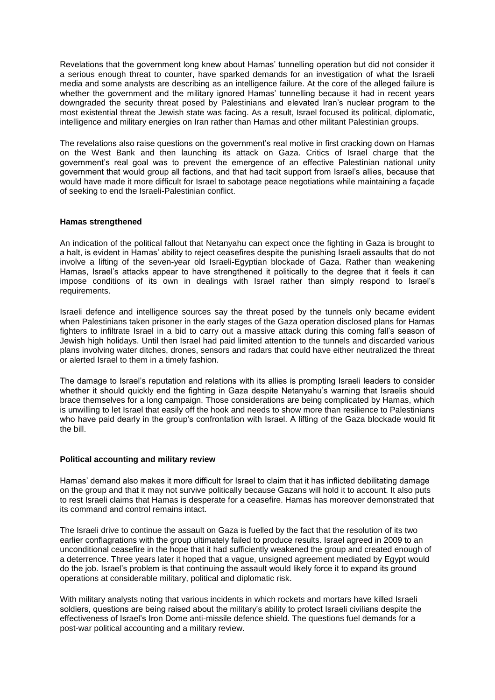Revelations that the government long knew about Hamas' tunnelling operation but did not consider it a serious enough threat to counter, have sparked demands for an investigation of what the Israeli media and some analysts are describing as an intelligence failure. At the core of the alleged failure is whether the government and the military ignored Hamas' tunnelling because it had in recent years downgraded the security threat posed by Palestinians and elevated Iran's nuclear program to the most existential threat the Jewish state was facing. As a result, Israel focused its political, diplomatic, intelligence and military energies on Iran rather than Hamas and other militant Palestinian groups.

The revelations also raise questions on the government's real motive in first cracking down on Hamas on the West Bank and then launching its attack on Gaza. Critics of Israel charge that the government's real goal was to prevent the emergence of an effective Palestinian national unity government that would group all factions, and that had tacit support from Israel's allies, because that would have made it more difficult for Israel to sabotage peace negotiations while maintaining a façade of seeking to end the Israeli-Palestinian conflict.

### **Hamas strengthened**

An indication of the political fallout that Netanyahu can expect once the fighting in Gaza is brought to a halt, is evident in Hamas' ability to reject ceasefires despite the punishing Israeli assaults that do not involve a lifting of the seven-year old Israeli-Egyptian blockade of Gaza. Rather than weakening Hamas, Israel's attacks appear to have strengthened it politically to the degree that it feels it can impose conditions of its own in dealings with Israel rather than simply respond to Israel's requirements.

Israeli defence and intelligence sources say the threat posed by the tunnels only became evident when Palestinians taken prisoner in the early stages of the Gaza operation disclosed plans for Hamas fighters to infiltrate Israel in a bid to carry out a massive attack during this coming fall's season of Jewish high holidays. Until then Israel had paid limited attention to the tunnels and discarded various plans involving water ditches, drones, sensors and radars that could have either neutralized the threat or alerted Israel to them in a timely fashion.

The damage to Israel's reputation and relations with its allies is prompting Israeli leaders to consider whether it should quickly end the fighting in Gaza despite Netanyahu's warning that Israelis should brace themselves for a long campaign. Those considerations are being complicated by Hamas, which is unwilling to let Israel that easily off the hook and needs to show more than resilience to Palestinians who have paid dearly in the group's confrontation with Israel. A lifting of the Gaza blockade would fit the bill.

#### **Political accounting and military review**

Hamas' demand also makes it more difficult for Israel to claim that it has inflicted debilitating damage on the group and that it may not survive politically because Gazans will hold it to account. It also puts to rest Israeli claims that Hamas is desperate for a ceasefire. Hamas has moreover demonstrated that its command and control remains intact.

The Israeli drive to continue the assault on Gaza is fuelled by the fact that the resolution of its two earlier conflagrations with the group ultimately failed to produce results. Israel agreed in 2009 to an unconditional ceasefire in the hope that it had sufficiently weakened the group and created enough of a deterrence. Three years later it hoped that a vague, unsigned agreement mediated by Egypt would do the job. Israel's problem is that continuing the assault would likely force it to expand its ground operations at considerable military, political and diplomatic risk.

With military analysts noting that various incidents in which rockets and mortars have killed Israeli soldiers, questions are being raised about the military's ability to protect Israeli civilians despite the effectiveness of Israel's Iron Dome anti-missile defence shield. The questions fuel demands for a post-war political accounting and a military review.